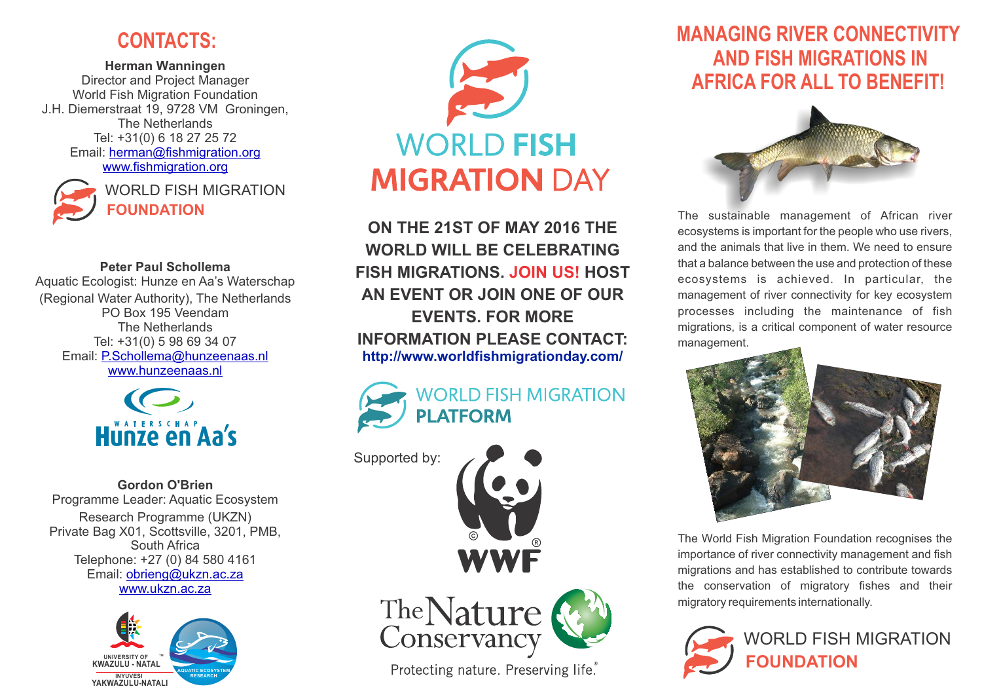## J **CONTACTS:**

**Herman Wanningen** Director and Project Manager World Fish Migration Foundation J.H. Diemerstraat 19, 9728 VM Groningen, The Netherlands Tel: +31(0) 6 18 27 25 72 Email: [herman@fishmigration.org](mailto:herman@fishmigration.org)  [www.fishmigration.org](http://www.fishmigration.org/)



**FOUNDATION** WORLD FISH MIGRATION

**Peter Paul Schollema** Aquatic Ecologist: Hunze en Aa's Waterschap (Regional Water Authority), The Netherlands PO Box 195 Veendam The Netherlands Tel: +31(0) 5 98 69 34 07 Email: [P.Schollema@hunzeenaas.nl](mailto:herman@fishmigration.org) [www.hunzeenaas.nl](http://www.hunzeenaas.nl)



**Gordon O'Brien** Programme Leader: Aquatic Ecosystem Research Programme (UKZN) Private Bag X01, Scottsville, 3201, PMB, South Africa Telephone: +27 (0) 84 580 4161 Email: [obrieng@ukzn.ac.za](mailto:obrieng@ukzn.ac.za) [www.ukzn.ac.za](http://WWW.UKZN.AC.ZA) 





**ON THE 21ST OF MAY 2016 THE WORLD WILL BE CELEBRATING FISH MIGRATIONS. JOIN US! HOST AN EVENT OR JOIN ONE OF OUR EVENTS. FOR MORE INFORMATION PLEASE CONTACT: http://www.worldfishmigrationday.com/** 



Supported by:





Protecting nature. Preserving life.

# **MANAGING RIVER CONNECTIVITY AND FISH MIGRATIONS IN AFRICA FOR ALL TO BENEFIT!**



The sustainable management of African river ecosystems is important for the people who use rivers, and the animals that live in them. We need to ensure that a balance between the use and protection of these ecosystems is achieved. In particular, the management of river connectivity for key ecosystem processes including the maintenance of fish migrations, is a critical component of water resource management.



The World Fish Migration Foundation recognises the importance of river connectivity management and fish migrations and has established to contribute towards the conservation of migratory fishes and their migratory requirements internationally.